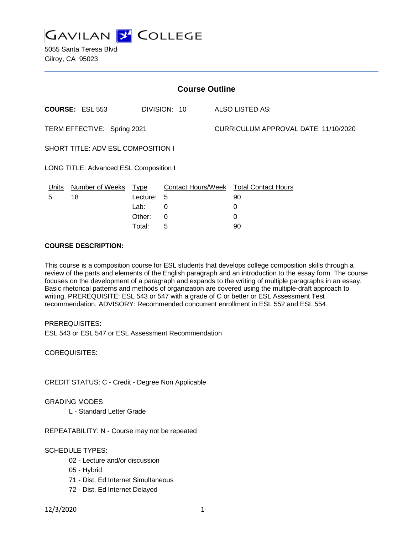

5055 Santa Teresa Blvd Gilroy, CA 95023

| <b>Course Outline</b>                  |                        |            |              |  |                                               |  |
|----------------------------------------|------------------------|------------|--------------|--|-----------------------------------------------|--|
|                                        | <b>COURSE: ESL 553</b> |            | DIVISION: 10 |  | ALSO LISTED AS:                               |  |
| TERM EFFECTIVE: Spring 2021            |                        |            |              |  | CURRICULUM APPROVAL DATE: 11/10/2020          |  |
| SHORT TITLE: ADV ESL COMPOSITION I     |                        |            |              |  |                                               |  |
| LONG TITLE: Advanced ESL Composition I |                        |            |              |  |                                               |  |
| <u>Units</u>                           | Number of Weeks Type   |            |              |  | <b>Contact Hours/Week Total Contact Hours</b> |  |
| 5                                      | 18                     | Lecture: 5 |              |  | 90                                            |  |
|                                        |                        | Lab:       | 0            |  | 0                                             |  |
|                                        |                        | Other:     | 0            |  | 0                                             |  |

Total: 5 90

#### **COURSE DESCRIPTION:**

This course is a composition course for ESL students that develops college composition skills through a review of the parts and elements of the English paragraph and an introduction to the essay form. The course focuses on the development of a paragraph and expands to the writing of multiple paragraphs in an essay. Basic rhetorical patterns and methods of organization are covered using the multiple-draft approach to writing. PREREQUISITE: ESL 543 or 547 with a grade of C or better or ESL Assessment Test recommendation. ADVISORY: Recommended concurrent enrollment in ESL 552 and ESL 554.

PREREQUISITES: ESL 543 or ESL 547 or ESL Assessment Recommendation

COREQUISITES:

CREDIT STATUS: C - Credit - Degree Non Applicable

GRADING MODES

L - Standard Letter Grade

REPEATABILITY: N - Course may not be repeated

## SCHEDULE TYPES:

- 02 Lecture and/or discussion
- 05 Hybrid
- 71 Dist. Ed Internet Simultaneous
- 72 Dist. Ed Internet Delayed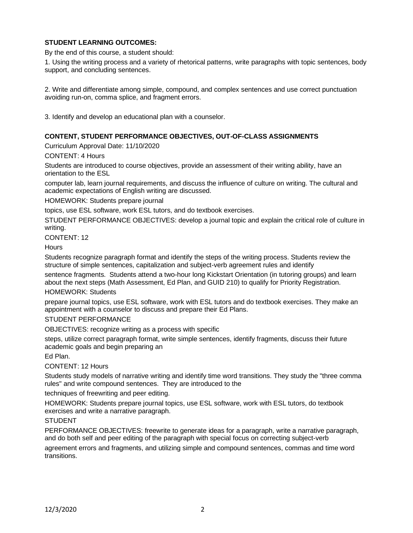# **STUDENT LEARNING OUTCOMES:**

By the end of this course, a student should:

1. Using the writing process and a variety of rhetorical patterns, write paragraphs with topic sentences, body support, and concluding sentences.

2. Write and differentiate among simple, compound, and complex sentences and use correct punctuation avoiding run-on, comma splice, and fragment errors.

3. Identify and develop an educational plan with a counselor.

## **CONTENT, STUDENT PERFORMANCE OBJECTIVES, OUT-OF-CLASS ASSIGNMENTS**

Curriculum Approval Date: 11/10/2020

#### CONTENT: 4 Hours

Students are introduced to course objectives, provide an assessment of their writing ability, have an orientation to the ESL

computer lab, learn journal requirements, and discuss the influence of culture on writing. The cultural and academic expectations of English writing are discussed.

HOMEWORK: Students prepare journal

topics, use ESL software, work ESL tutors, and do textbook exercises.

STUDENT PERFORMANCE OBJECTIVES: develop a journal topic and explain the critical role of culture in writing.

CONTENT: 12

**Hours** 

Students recognize paragraph format and identify the steps of the writing process. Students review the structure of simple sentences, capitalization and subject-verb agreement rules and identify

sentence fragments. Students attend a two-hour long Kickstart Orientation (in tutoring groups) and learn about the next steps (Math Assessment, Ed Plan, and GUID 210) to qualify for Priority Registration.

## HOMEWORK: Students

prepare journal topics, use ESL software, work with ESL tutors and do textbook exercises. They make an appointment with a counselor to discuss and prepare their Ed Plans.

#### STUDENT PERFORMANCE

OBJECTIVES: recognize writing as a process with specific

steps, utilize correct paragraph format, write simple sentences, identify fragments, discuss their future academic goals and begin preparing an

Ed Plan.

#### CONTENT: 12 Hours

Students study models of narrative writing and identify time word transitions. They study the "three comma rules" and write compound sentences. They are introduced to the

techniques of freewriting and peer editing.

HOMEWORK: Students prepare journal topics, use ESL software, work with ESL tutors, do textbook exercises and write a narrative paragraph.

#### STUDENT

PERFORMANCE OBJECTIVES: freewrite to generate ideas for a paragraph, write a narrative paragraph, and do both self and peer editing of the paragraph with special focus on correcting subject-verb agreement errors and fragments, and utilizing simple and compound sentences, commas and time word transitions.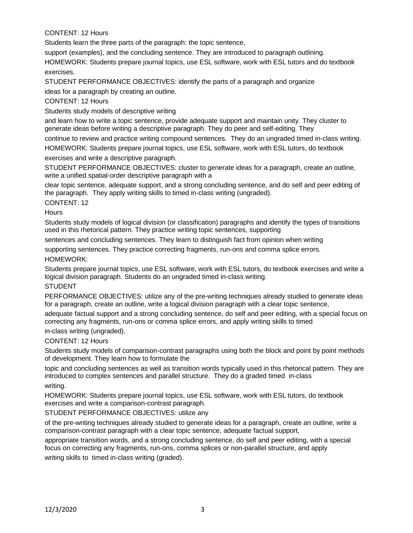# CONTENT: 12 Hours

Students learn the three parts of the paragraph: the topic sentence,

support (examples), and the concluding sentence. They are introduced to paragraph outlining.

HOMEWORK: Students prepare journal topics, use ESL software, work with ESL tutors and do textbook exercises.

STUDENT PERFORMANCE OBJECTIVES: identify the parts of a paragraph and organize ideas for a paragraph by creating an outline.

CONTENT: 12 Hours

Students study models of descriptive writing

and learn how to write a topic sentence, provide adequate support and maintain unity. They cluster to generate ideas before writing a descriptive paragraph. They do peer and self-editing. They

continue to review and practice writing compound sentences. They do an ungraded timed in-class writing.

HOMEWORK: Students prepare journal topics, use ESL software, work with ESL tutors, do textbook exercises and write a descriptive paragraph.

STUDENT PERFORMANCE OBJECTIVES: cluster to generate ideas for a paragraph, create an outline, write a unified spatial-order descriptive paragraph with a

clear topic sentence, adequate support, and a strong concluding sentence, and do self and peer editing of the paragraph. They apply writing skills to timed in-class writing (ungraded).

CONTENT: 12

**Hours** 

Students study models of logical division (or classification) paragraphs and identify the types of transitions used in this rhetorical pattern. They practice writing topic sentences, supporting

sentences and concluding sentences. They learn to distinguish fact from opinion when writing

supporting sentences. They practice correcting fragments, run-ons and comma splice errors. HOMEWORK:

Students prepare journal topics, use ESL software, work with ESL tutors, do textbook exercises and write a logical division paragraph. Students do an ungraded timed in-class writing.

STUDENT

PERFORMANCE OBJECTIVES: utilize any of the pre-writing techniques already studied to generate ideas for a paragraph, create an outline, write a logical division paragraph with a clear topic sentence,

adequate factual support and a strong concluding sentence, do self and peer editing, with a special focus on correcting any fragments, run-ons or comma splice errors, and apply writing skills to timed

in-class writing (ungraded).

CONTENT: 12 Hours

Students study models of comparison-contrast paragraphs using both the block and point by point methods of development. They learn how to formulate the

topic and concluding sentences as well as transition words typically used in this rhetorical pattern. They are introduced to complex sentences and parallel structure. They do a graded timed in-class writing.

HOMEWORK: Students prepare journal topics, use ESL software, work with ESL tutors, do textbook exercises and write a comparison-contrast paragraph.

STUDENT PERFORMANCE OBJECTIVES: utilize any

of the pre-writing techniques already studied to generate ideas for a paragraph, create an outline, write a comparison-contrast paragraph with a clear topic sentence, adequate factual support,

appropriate transition words, and a strong concluding sentence, do self and peer editing, with a special focus on correcting any fragments, run-ons, comma splices or non-parallel structure, and apply writing skills to timed in-class writing (graded).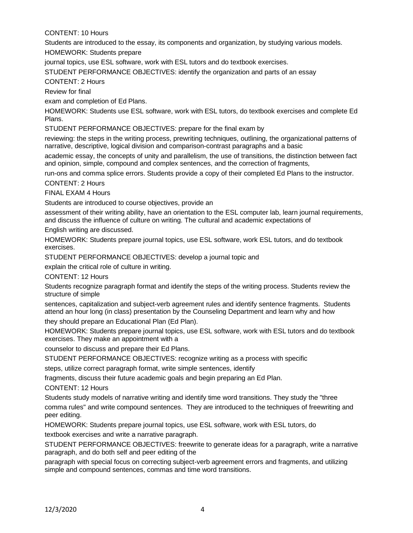## CONTENT: 10 Hours

Students are introduced to the essay, its components and organization, by studying various models.

HOMEWORK: Students prepare

journal topics, use ESL software, work with ESL tutors and do textbook exercises.

STUDENT PERFORMANCE OBJECTIVES: identify the organization and parts of an essay

## CONTENT: 2 Hours

Review for final

exam and completion of Ed Plans.

HOMEWORK: Students use ESL software, work with ESL tutors, do textbook exercises and complete Ed Plans.

STUDENT PERFORMANCE OBJECTIVES: prepare for the final exam by

reviewing: the steps in the writing process, prewriting techniques, outlining, the organizational patterns of narrative, descriptive, logical division and comparison-contrast paragraphs and a basic

academic essay, the concepts of unity and parallelism, the use of transitions, the distinction between fact and opinion, simple, compound and complex sentences, and the correction of fragments,

run-ons and comma splice errors. Students provide a copy of their completed Ed Plans to the instructor.

CONTENT: 2 Hours

FINAL EXAM 4 Hours

Students are introduced to course objectives, provide an

assessment of their writing ability, have an orientation to the ESL computer lab, learn journal requirements, and discuss the influence of culture on writing. The cultural and academic expectations of

English writing are discussed.

HOMEWORK: Students prepare journal topics, use ESL software, work ESL tutors, and do textbook exercises.

STUDENT PERFORMANCE OBJECTIVES: develop a journal topic and

explain the critical role of culture in writing.

CONTENT: 12 Hours

Students recognize paragraph format and identify the steps of the writing process. Students review the structure of simple

sentences, capitalization and subject-verb agreement rules and identify sentence fragments. Students attend an hour long (in class) presentation by the Counseling Department and learn why and how they should prepare an Educational Plan (Ed Plan).

HOMEWORK: Students prepare journal topics, use ESL software, work with ESL tutors and do textbook exercises. They make an appointment with a

counselor to discuss and prepare their Ed Plans.

STUDENT PERFORMANCE OBJECTIVES: recognize writing as a process with specific

steps, utilize correct paragraph format, write simple sentences, identify

fragments, discuss their future academic goals and begin preparing an Ed Plan.

CONTENT: 12 Hours

Students study models of narrative writing and identify time word transitions. They study the "three comma rules" and write compound sentences. They are introduced to the techniques of freewriting and peer editing.

HOMEWORK: Students prepare journal topics, use ESL software, work with ESL tutors, do

textbook exercises and write a narrative paragraph.

STUDENT PERFORMANCE OBJECTIVES: freewrite to generate ideas for a paragraph, write a narrative paragraph, and do both self and peer editing of the

paragraph with special focus on correcting subject-verb agreement errors and fragments, and utilizing simple and compound sentences, commas and time word transitions.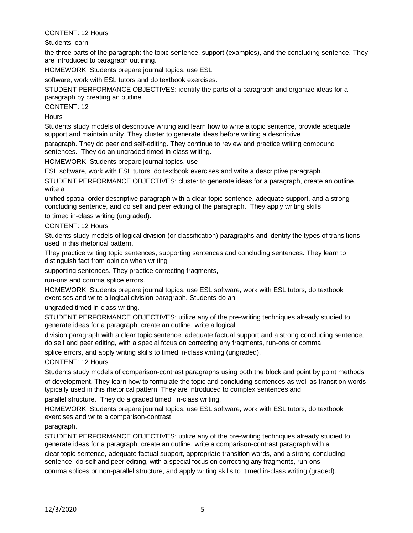## CONTENT: 12 Hours

Students learn

the three parts of the paragraph: the topic sentence, support (examples), and the concluding sentence. They are introduced to paragraph outlining.

HOMEWORK: Students prepare journal topics, use ESL

software, work with ESL tutors and do textbook exercises.

STUDENT PERFORMANCE OBJECTIVES: identify the parts of a paragraph and organize ideas for a paragraph by creating an outline.

CONTENT: 12

**Hours** 

Students study models of descriptive writing and learn how to write a topic sentence, provide adequate support and maintain unity. They cluster to generate ideas before writing a descriptive

paragraph. They do peer and self-editing. They continue to review and practice writing compound sentences. They do an ungraded timed in-class writing.

HOMEWORK: Students prepare journal topics, use

ESL software, work with ESL tutors, do textbook exercises and write a descriptive paragraph.

STUDENT PERFORMANCE OBJECTIVES: cluster to generate ideas for a paragraph, create an outline, write a

unified spatial-order descriptive paragraph with a clear topic sentence, adequate support, and a strong concluding sentence, and do self and peer editing of the paragraph. They apply writing skills

to timed in-class writing (ungraded).

CONTENT: 12 Hours

Students study models of logical division (or classification) paragraphs and identify the types of transitions used in this rhetorical pattern.

They practice writing topic sentences, supporting sentences and concluding sentences. They learn to distinguish fact from opinion when writing

supporting sentences. They practice correcting fragments,

run-ons and comma splice errors.

HOMEWORK: Students prepare journal topics, use ESL software, work with ESL tutors, do textbook exercises and write a logical division paragraph. Students do an

ungraded timed in-class writing.

STUDENT PERFORMANCE OBJECTIVES: utilize any of the pre-writing techniques already studied to generate ideas for a paragraph, create an outline, write a logical

division paragraph with a clear topic sentence, adequate factual support and a strong concluding sentence, do self and peer editing, with a special focus on correcting any fragments, run-ons or comma

splice errors, and apply writing skills to timed in-class writing (ungraded).

CONTENT: 12 Hours

Students study models of comparison-contrast paragraphs using both the block and point by point methods of development. They learn how to formulate the topic and concluding sentences as well as transition words typically used in this rhetorical pattern. They are introduced to complex sentences and

parallel structure. They do a graded timed in-class writing.

HOMEWORK: Students prepare journal topics, use ESL software, work with ESL tutors, do textbook exercises and write a comparison-contrast

paragraph.

STUDENT PERFORMANCE OBJECTIVES: utilize any of the pre-writing techniques already studied to generate ideas for a paragraph, create an outline, write a comparison-contrast paragraph with a

clear topic sentence, adequate factual support, appropriate transition words, and a strong concluding sentence, do self and peer editing, with a special focus on correcting any fragments, run-ons,

comma splices or non-parallel structure, and apply writing skills to timed in-class writing (graded).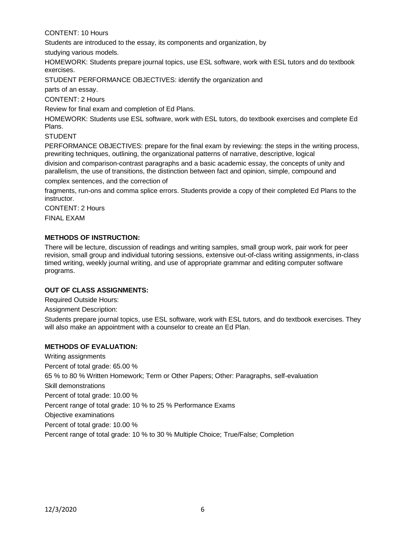# CONTENT: 10 Hours

Students are introduced to the essay, its components and organization, by

studying various models.

HOMEWORK: Students prepare journal topics, use ESL software, work with ESL tutors and do textbook exercises.

STUDENT PERFORMANCE OBJECTIVES: identify the organization and

parts of an essay.

CONTENT: 2 Hours

Review for final exam and completion of Ed Plans.

HOMEWORK: Students use ESL software, work with ESL tutors, do textbook exercises and complete Ed Plans.

**STUDENT** 

PERFORMANCE OBJECTIVES: prepare for the final exam by reviewing: the steps in the writing process, prewriting techniques, outlining, the organizational patterns of narrative, descriptive, logical

division and comparison-contrast paragraphs and a basic academic essay, the concepts of unity and parallelism, the use of transitions, the distinction between fact and opinion, simple, compound and

complex sentences, and the correction of

fragments, run-ons and comma splice errors. Students provide a copy of their completed Ed Plans to the instructor.

CONTENT: 2 Hours

FINAL EXAM

## **METHODS OF INSTRUCTION:**

There will be lecture, discussion of readings and writing samples, small group work, pair work for peer revision, small group and individual tutoring sessions, extensive out-of-class writing assignments, in-class timed writing, weekly journal writing, and use of appropriate grammar and editing computer software programs.

## **OUT OF CLASS ASSIGNMENTS:**

Required Outside Hours:

Assignment Description:

Students prepare journal topics, use ESL software, work with ESL tutors, and do textbook exercises. They will also make an appointment with a counselor to create an Ed Plan.

## **METHODS OF EVALUATION:**

Writing assignments Percent of total grade: 65.00 % 65 % to 80 % Written Homework; Term or Other Papers; Other: Paragraphs, self-evaluation Skill demonstrations Percent of total grade: 10.00 % Percent range of total grade: 10 % to 25 % Performance Exams Objective examinations Percent of total grade: 10.00 % Percent range of total grade: 10 % to 30 % Multiple Choice; True/False; Completion